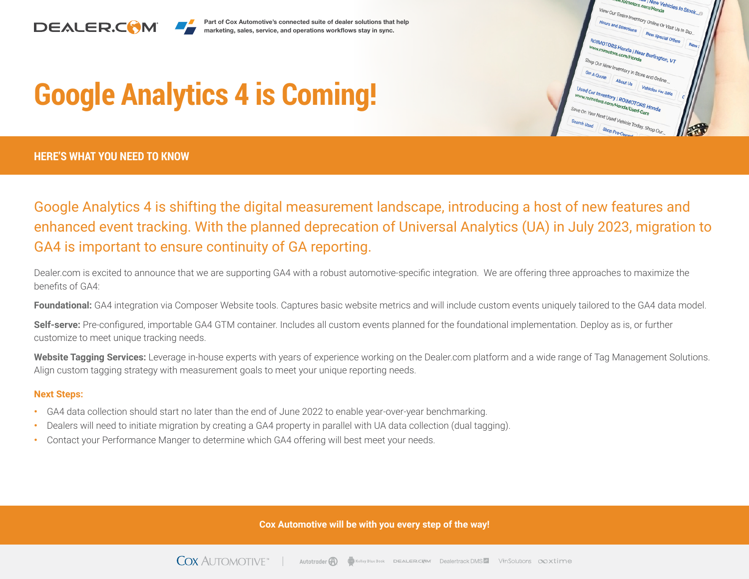

Part of Cox Automotive's connected suite of dealer solutions that help marketing, sales, service, and operations workflows stay in sync.



# **Google Analytics 4 is Coming!**

**HERE'S WHAT YOU NEED TO KNOW**

### Google Analytics 4 is shifting the digital measurement landscape, introducing a host of new features and enhanced event tracking. With the planned deprecation of Universal Analytics (UA) in July 2023, migration to GA4 is important to ensure continuity of GA reporting.

Dealer.com is excited to announce that we are supporting GA4 with a robust automotive-specific integration. We are offering three approaches to maximize the benefits of GA4:

**Foundational:** GA4 integration via Composer Website tools. Captures basic website metrics and will include custom events uniquely tailored to the GA4 data model.

**Self-serve:** Pre-configured, importable GA4 GTM container. Includes all custom events planned for the foundational implementation. Deploy as is, or further customize to meet unique tracking needs.

**Website Tagging Services:** Leverage in-house experts with years of experience working on the Dealer.com platform and a wide range of Tag Management Solutions. Align custom tagging strategy with measurement goals to meet your unique reporting needs.

#### **Next Steps:**

- **•** GA4 data collection should start no later than the end of June 2022 to enable year-over-year benchmarking.
- **•** Dealers will need to initiate migration by creating a GA4 property in parallel with UA data collection (dual tagging).
- **•** Contact your Performance Manger to determine which GA4 offering will best meet your needs.

**Cox Automotive will be with you every step of the way!**